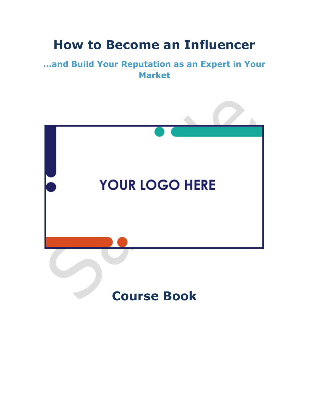## **How to Become an Influencer**

#### **…and Build Your Reputation as an Expert in Your Market**

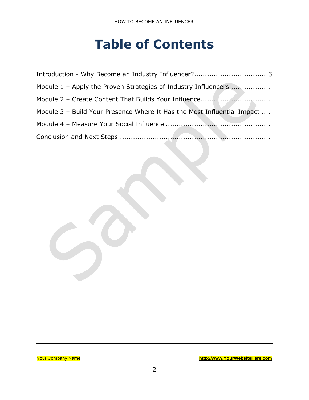# **Table of Contents**

| Module 1 – Apply the Proven Strategies of Industry Influencers          |
|-------------------------------------------------------------------------|
|                                                                         |
| Module 3 - Build Your Presence Where It Has the Most Influential Impact |
|                                                                         |
|                                                                         |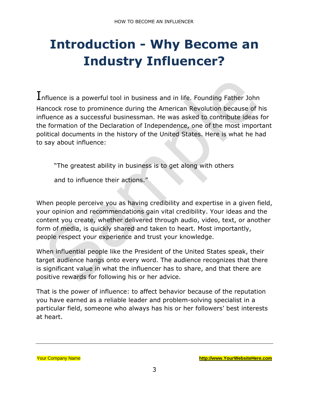# <span id="page-2-0"></span>**Introduction - Why Become an Industry Influencer?**

 $I$ nfluence is a powerful tool in business and in life. Founding Father John Hancock rose to prominence during the American Revolution because of his influence as a successful businessman. He was asked to contribute ideas for the formation of the Declaration of Independence, one of the most important political documents in the history of the United States. Here is what he had to say about influence:

"The greatest ability in business is to get along with others

and to influence their actions."

When people perceive you as having credibility and expertise in a given field, your opinion and recommendations gain vital credibility. Your ideas and the content you create, whether delivered through audio, video, text, or another form of media, is quickly shared and taken to heart. Most importantly, people respect your experience and trust your knowledge.

When influential people like the President of the United States speak, their target audience hangs onto every word. The audience recognizes that there is significant value in what the influencer has to share, and that there are positive rewards for following his or her advice.

That is the power of influence: to affect behavior because of the reputation you have earned as a reliable leader and problem-solving specialist in a particular field, someone who always has his or her followers' best interests at heart.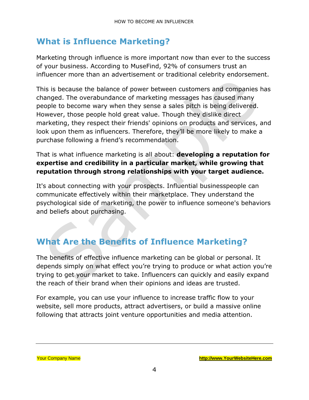#### **What is Influence Marketing?**

Marketing through influence is more important now than ever to the success of your business. According to MuseFind, 92% of consumers trust an influencer more than an advertisement or traditional celebrity endorsement.

This is because the balance of power between customers and companies has changed. The overabundance of marketing messages has caused many people to become wary when they sense a sales pitch is being delivered. However, those people hold great value. Though they dislike direct marketing, they respect their friends' opinions on products and services, and look upon them as influencers. Therefore, they'll be more likely to make a purchase following a friend's recommendation.

#### That is what influence marketing is all about: **developing a reputation for expertise and credibility in a particular market, while growing that reputation through strong relationships with your target audience.**

It's about connecting with your prospects. Influential businesspeople can communicate effectively within their marketplace. They understand the psychological side of marketing, the power to influence someone's behaviors and beliefs about purchasing.

### **What Are the Benefits of Influence Marketing?**

The benefits of effective influence marketing can be global or personal. It depends simply on what effect you're trying to produce or what action you're trying to get your market to take. Influencers can quickly and easily expand the reach of their brand when their opinions and ideas are trusted.

For example, you can use your influence to increase traffic flow to your website, sell more products, attract advertisers, or build a massive online following that attracts joint venture opportunities and media attention.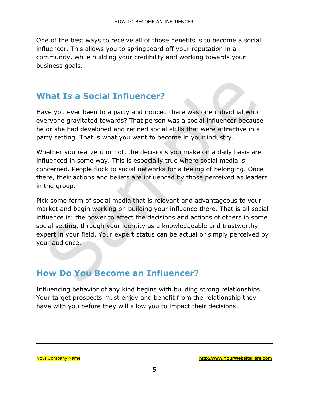One of the best ways to receive all of those benefits is to become a social influencer. This allows you to springboard off your reputation in a community, while building your credibility and working towards your business goals.

#### **What Is a Social Influencer?**

Have you ever been to a party and noticed there was one individual who everyone gravitated towards? That person was a social influencer because he or she had developed and refined social skills that were attractive in a party setting. That is what you want to become in your industry.

Whether you realize it or not, the decisions you make on a daily basis are influenced in some way. This is especially true where social media is concerned. People flock to social networks for a feeling of belonging. Once there, their actions and beliefs are influenced by those perceived as leaders in the group.

Pick some form of social media that is relevant and advantageous to your market and begin working on building your influence there. That is all social influence is: the power to affect the decisions and actions of others in some social setting, through your identity as a knowledgeable and trustworthy expert in your field. Your expert status can be actual or simply perceived by your audience.

#### **How Do You Become an Influencer?**

Influencing behavior of any kind begins with building strong relationships. Your target prospects must enjoy and benefit from the relationship they have with you before they will allow you to impact their decisions.